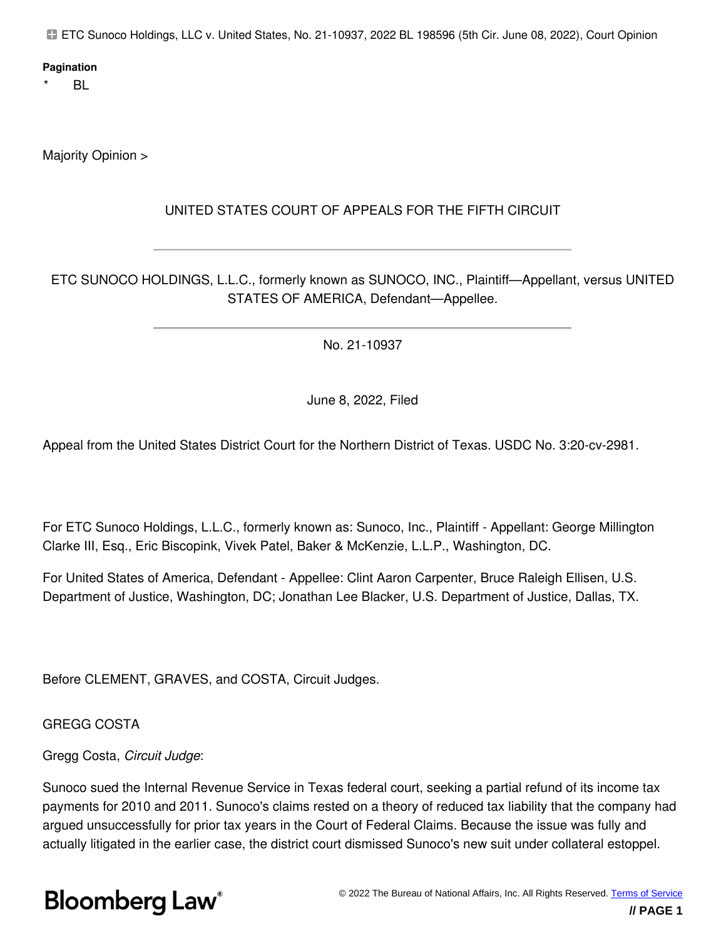ETC Sunoco Holdings, LLC v. United States, No. 21-10937, 2022 BL 198596 (5th Cir. June 08, 2022), Court Opinion

#### **Pagination**

 $BL$ 

Majority Opinion >

### UNITED STATES COURT OF APPEALS FOR THE FIFTH CIRCUIT

ETC SUNOCO HOLDINGS, L.L.C., formerly known as SUNOCO, INC., Plaintiff—Appellant, versus UNITED STATES OF AMERICA, Defendant—Appellee.

No. 21-10937

June 8, 2022, Filed

Appeal from the United States District Court for the Northern District of Texas. USDC No. 3:20-cv-2981.

For ETC Sunoco Holdings, L.L.C., formerly known as: Sunoco, Inc., Plaintiff - Appellant: George Millington Clarke III, Esq., Eric Biscopink, Vivek Patel, Baker & McKenzie, L.L.P., Washington, DC.

For United States of America, Defendant - Appellee: Clint Aaron Carpenter, Bruce Raleigh Ellisen, U.S. Department of Justice, Washington, DC; Jonathan Lee Blacker, U.S. Department of Justice, Dallas, TX.

Before CLEMENT, GRAVES, and COSTA, Circuit Judges.

GREGG COSTA

#### Gregg Costa, *Circuit Judge*:

Sunoco sued the Internal Revenue Service in Texas federal court, seeking a partial refund of its income tax payments for 2010 and 2011. Sunoco's claims rested on a theory of reduced tax liability that the company had argued unsuccessfully for prior tax years in the Court of Federal Claims. Because the issue was fully and actually litigated in the earlier case, the district court dismissed Sunoco's new suit under collateral estoppel.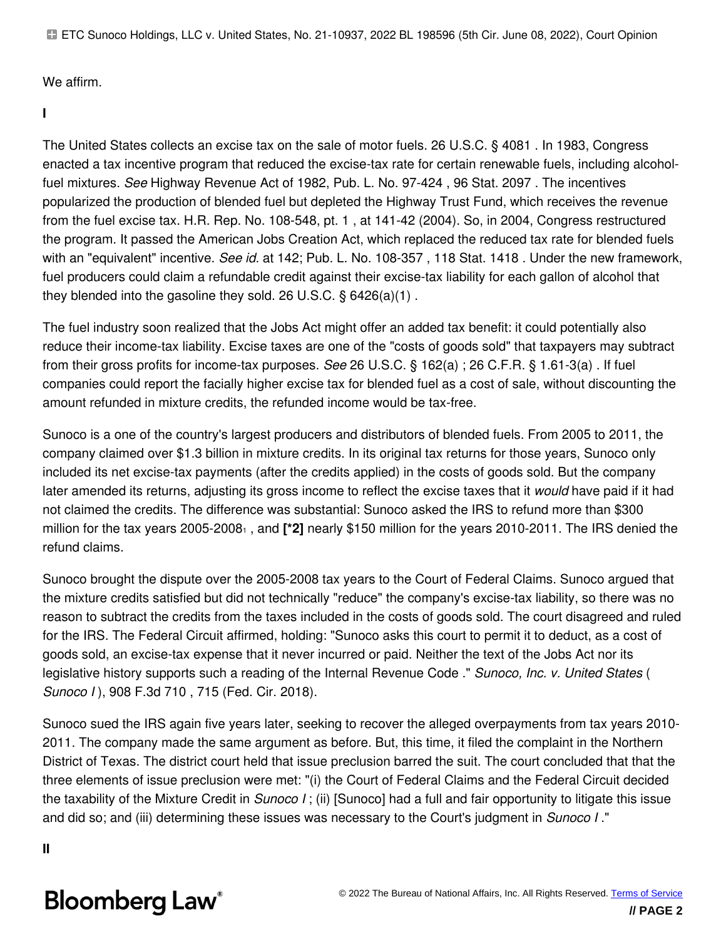ETC Sunoco Holdings, LLC v. United States, No. 21-10937, 2022 BL 198596 (5th Cir. June 08, 2022), Court Opinion

We affirm.

**I**

The United States collects an excise tax on the sale of motor fuels. 26 U.S.C. § 4081 . In 1983, Congress enacted a tax incentive program that reduced the excise-tax rate for certain renewable fuels, including alcoholfuel mixtures. *See* Highway Revenue Act of 1982, Pub. L. No. 97-424 , 96 Stat. 2097 . The incentives popularized the production of blended fuel but depleted the Highway Trust Fund, which receives the revenue from the fuel excise tax. H.R. Rep. No. 108-548, pt. 1 , at 141-42 (2004). So, in 2004, Congress restructured the program. It passed the American Jobs Creation Act, which replaced the reduced tax rate for blended fuels with an "equivalent" incentive. *See id.* at 142; Pub. L. No. 108-357 , 118 Stat. 1418 . Under the new framework, fuel producers could claim a refundable credit against their excise-tax liability for each gallon of alcohol that they blended into the gasoline they sold. 26 U.S.C. § 6426(a)(1) .

The fuel industry soon realized that the Jobs Act might offer an added tax benefit: it could potentially also reduce their income-tax liability. Excise taxes are one of the "costs of goods sold" that taxpayers may subtract from their gross profits for income-tax purposes. *See* 26 U.S.C. § 162(a) ; 26 C.F.R. § 1.61-3(a) . If fuel companies could report the facially higher excise tax for blended fuel as a cost of sale, without discounting the amount refunded in mixture credits, the refunded income would be tax-free.

Sunoco is a one of the country's largest producers and distributors of blended fuels. From 2005 to 2011, the company claimed over \$1.3 billion in mixture credits. In its original tax returns for those years, Sunoco only included its net excise-tax payments (after the credits applied) in the costs of goods sold. But the company later amended its returns, adjusting its gross income to reflect the excise taxes that it *would* have paid if it had not claimed the credits. The difference was substantial: Sunoco asked the IRS to refund more than \$300 million for the tax years 2005-20081 , and **[\*2]** nearly \$150 million for the years 2010-2011. The IRS denied the refund claims.

Sunoco brought the dispute over the 2005-2008 tax years to the Court of Federal Claims. Sunoco argued that the mixture credits satisfied but did not technically "reduce" the company's excise-tax liability, so there was no reason to subtract the credits from the taxes included in the costs of goods sold. The court disagreed and ruled for the IRS. The Federal Circuit affirmed, holding: "Sunoco asks this court to permit it to deduct, as a cost of goods sold, an excise-tax expense that it never incurred or paid. Neither the text of the Jobs Act nor its legislative history supports such a reading of the Internal Revenue Code ." *Sunoco, Inc. v. United States* ( *Sunoco I* ), 908 F.3d 710 , 715 (Fed. Cir. 2018).

Sunoco sued the IRS again five years later, seeking to recover the alleged overpayments from tax years 2010- 2011. The company made the same argument as before. But, this time, it filed the complaint in the Northern District of Texas. The district court held that issue preclusion barred the suit. The court concluded that that the three elements of issue preclusion were met: "(i) the Court of Federal Claims and the Federal Circuit decided the taxability of the Mixture Credit in *Sunoco I* ; (ii) [Sunoco] had a full and fair opportunity to litigate this issue and did so; and (iii) determining these issues was necessary to the Court's judgment in *Sunoco I* ."

**II**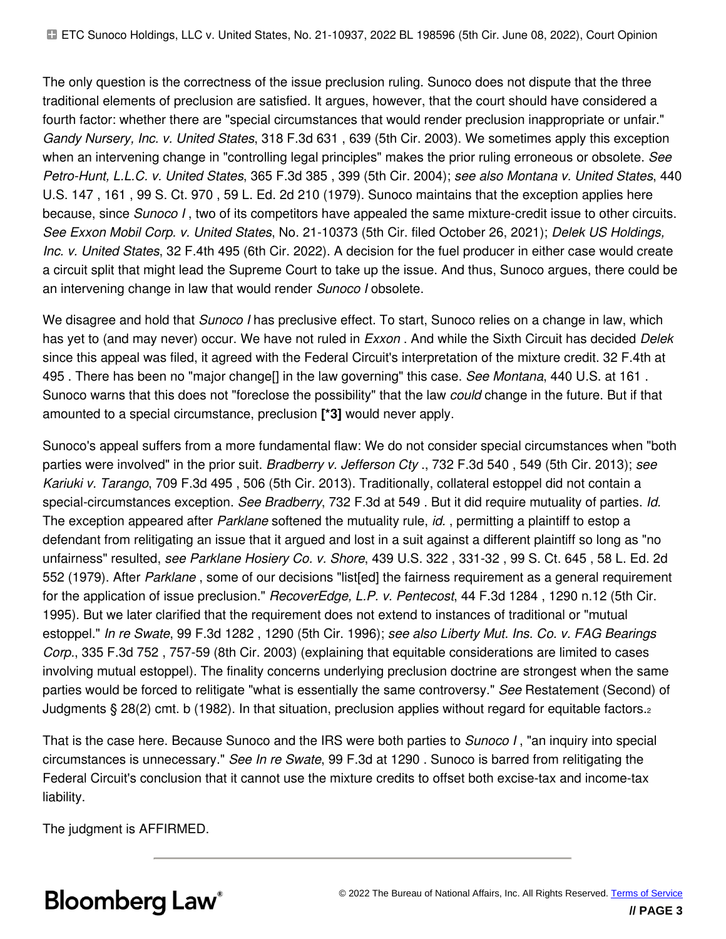The only question is the correctness of the issue preclusion ruling. Sunoco does not dispute that the three traditional elements of preclusion are satisfied. It argues, however, that the court should have considered a fourth factor: whether there are "special circumstances that would render preclusion inappropriate or unfair." *Gandy Nursery, Inc. v. United States*, 318 F.3d 631 , 639 (5th Cir. 2003). We sometimes apply this exception when an intervening change in "controlling legal principles" makes the prior ruling erroneous or obsolete. *See Petro-Hunt, L.L.C. v. United States*, 365 F.3d 385 , 399 (5th Cir. 2004); *see also Montana v. United States*, 440 U.S. 147 , 161 , 99 S. Ct. 970 , 59 L. Ed. 2d 210 (1979). Sunoco maintains that the exception applies here because, since *Sunoco I* , two of its competitors have appealed the same mixture-credit issue to other circuits. *See Exxon Mobil Corp. v. United States*, No. 21-10373 (5th Cir. filed October 26, 2021); *Delek US Holdings, Inc. v. United States*, 32 F.4th 495 (6th Cir. 2022). A decision for the fuel producer in either case would create a circuit split that might lead the Supreme Court to take up the issue. And thus, Sunoco argues, there could be an intervening change in law that would render *Sunoco I* obsolete.

We disagree and hold that *Sunoco I* has preclusive effect. To start, Sunoco relies on a change in law, which has yet to (and may never) occur. We have not ruled in *Exxon* . And while the Sixth Circuit has decided *Delek* since this appeal was filed, it agreed with the Federal Circuit's interpretation of the mixture credit. 32 F.4th at 495 . There has been no "major change[] in the law governing" this case. *See Montana*, 440 U.S. at 161 . Sunoco warns that this does not "foreclose the possibility" that the law *could* change in the future. But if that amounted to a special circumstance, preclusion **[\*3]** would never apply.

Sunoco's appeal suffers from a more fundamental flaw: We do not consider special circumstances when "both parties were involved" in the prior suit. *Bradberry v. Jefferson Cty* ., 732 F.3d 540 , 549 (5th Cir. 2013); *see Kariuki v. Tarango*, 709 F.3d 495 , 506 (5th Cir. 2013). Traditionally, collateral estoppel did not contain a special-circumstances exception. *See Bradberry*, 732 F.3d at 549 . But it did require mutuality of parties. *Id.* The exception appeared after *Parklane* softened the mutuality rule, *id.* , permitting a plaintiff to estop a defendant from relitigating an issue that it argued and lost in a suit against a different plaintiff so long as "no unfairness" resulted, *see Parklane Hosiery Co. v. Shore*, 439 U.S. 322 , 331-32 , 99 S. Ct. 645 , 58 L. Ed. 2d 552 (1979). After *Parklane* , some of our decisions "list[ed] the fairness requirement as a general requirement for the application of issue preclusion." *RecoverEdge, L.P. v. Pentecost*, 44 F.3d 1284 , 1290 n.12 (5th Cir. 1995). But we later clarified that the requirement does not extend to instances of traditional or "mutual estoppel." *In re Swate*, 99 F.3d 1282 , 1290 (5th Cir. 1996); *see also Liberty Mut. Ins. Co. v. FAG Bearings Corp.*, 335 F.3d 752 , 757-59 (8th Cir. 2003) (explaining that equitable considerations are limited to cases involving mutual estoppel). The finality concerns underlying preclusion doctrine are strongest when the same parties would be forced to relitigate "what is essentially the same controversy." *See* Restatement (Second) of Judgments § 28(2) cmt. b (1982). In that situation, preclusion applies without regard for equitable factors.<sup>2</sup>

That is the case here. Because Sunoco and the IRS were both parties to *Sunoco I* , "an inquiry into special circumstances is unnecessary." *See In re Swate*, 99 F.3d at 1290 . Sunoco is barred from relitigating the Federal Circuit's conclusion that it cannot use the mixture credits to offset both excise-tax and income-tax liability.

The judgment is AFFIRMED.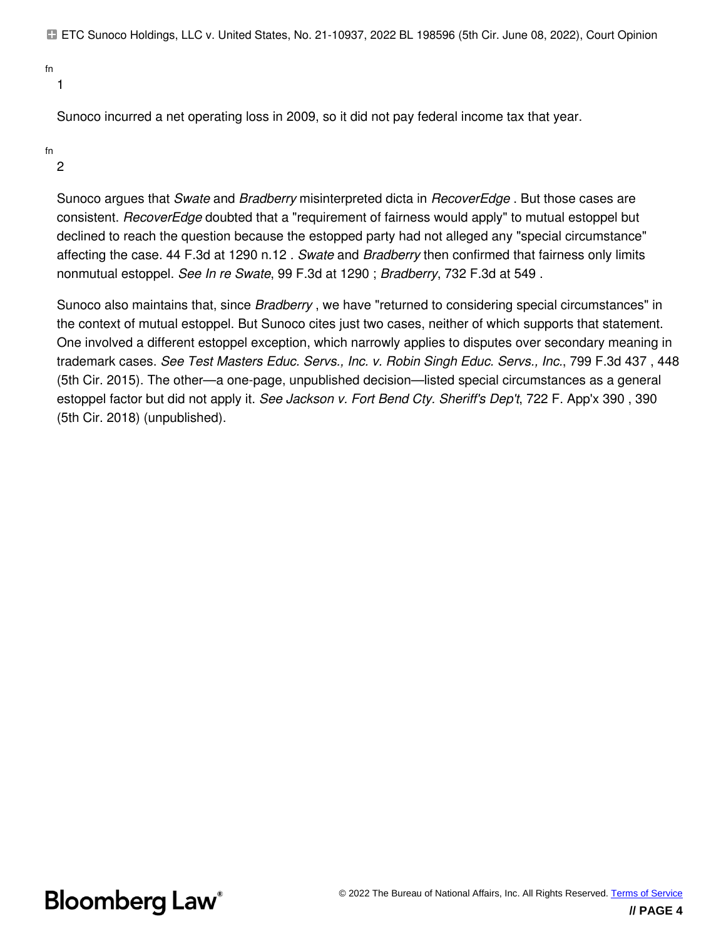ETC Sunoco Holdings, LLC v. United States, No. 21-10937, 2022 BL 198596 (5th Cir. June 08, 2022), Court Opinion

fn

1

Sunoco incurred a net operating loss in 2009, so it did not pay federal income tax that year.

fn

2

Sunoco argues that *Swate* and *Bradberry* misinterpreted dicta in *RecoverEdge* . But those cases are consistent. *RecoverEdge* doubted that a "requirement of fairness would apply" to mutual estoppel but declined to reach the question because the estopped party had not alleged any "special circumstance" affecting the case. 44 F.3d at 1290 n.12 *. Swate* and *Bradberry* then confirmed that fairness only limits nonmutual estoppel. *See In re Swate*, 99 F.3d at 1290 ; *Bradberry*, 732 F.3d at 549 .

Sunoco also maintains that, since *Bradberry* , we have "returned to considering special circumstances" in the context of mutual estoppel. But Sunoco cites just two cases, neither of which supports that statement. One involved a different estoppel exception, which narrowly applies to disputes over secondary meaning in trademark cases. *See Test Masters Educ. Servs., Inc. v. Robin Singh Educ. Servs., Inc.*, 799 F.3d 437 , 448 (5th Cir. 2015). The other—a one-page, unpublished decision—listed special circumstances as a general estoppel factor but did not apply it. *See Jackson v. Fort Bend Cty. Sheriff's Dep't*, 722 F. App'x 390 , 390 (5th Cir. 2018) (unpublished).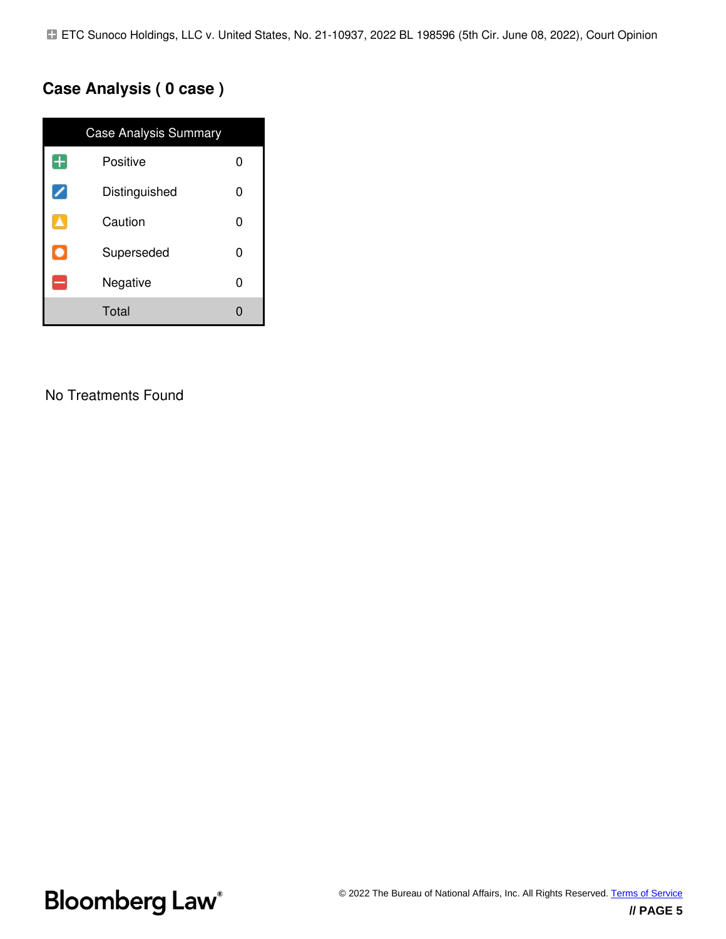## **Case Analysis ( 0 case )**

| <b>Case Analysis Summary</b> |                    |  |  |
|------------------------------|--------------------|--|--|
| Ŧ                            | Positive<br>0      |  |  |
|                              | Distinguished<br>ი |  |  |
|                              | Caution<br>O       |  |  |
| $\bullet$                    | Superseded<br>O    |  |  |
|                              | Negative<br>U      |  |  |
|                              | Total              |  |  |

### No Treatments Found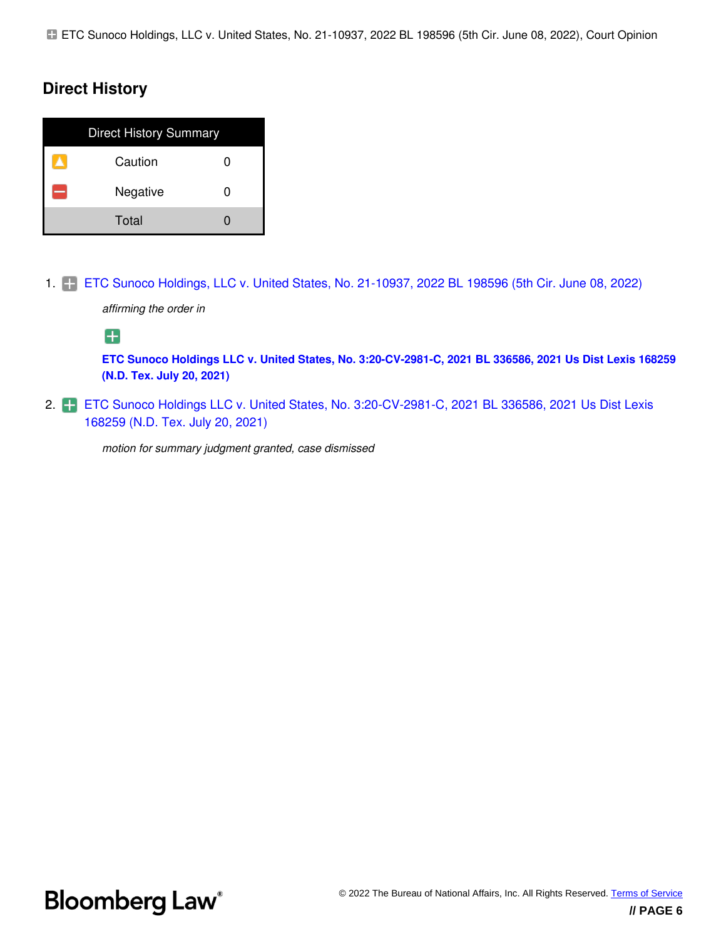### **Direct History**

| <b>Direct History Summary</b> |  |
|-------------------------------|--|
| Caution                       |  |
| Negative                      |  |
| Total                         |  |

1. [ETC Sunoco Holdings, LLC v. United States, No. 21-10937, 2022 BL 198596 \(5th Cir. June 08, 2022\)](https://www.bloomberglaw.com/product/tax/document/XLFBUFK0000N)

*affirming the order in*

8

**[ETC Sunoco Holdings LLC v. United States, No. 3:20-CV-2981-C, 2021 BL 336586, 2021 Us Dist Lexis 168259](https://www.bloomberglaw.com/product/tax/document/XORDU410000N) [\(N.D. Tex. July 20, 2021\)](https://www.bloomberglaw.com/product/tax/document/XORDU410000N)**

2. [ETC Sunoco Holdings LLC v. United States, No. 3:20-CV-2981-C, 2021 BL 336586, 2021 Us Dist Lexis](https://www.bloomberglaw.com/product/tax/document/XORDU410000N) [168259 \(N.D. Tex. July 20, 2021\)](https://www.bloomberglaw.com/product/tax/document/XORDU410000N)

*motion for summary judgment granted, case dismissed*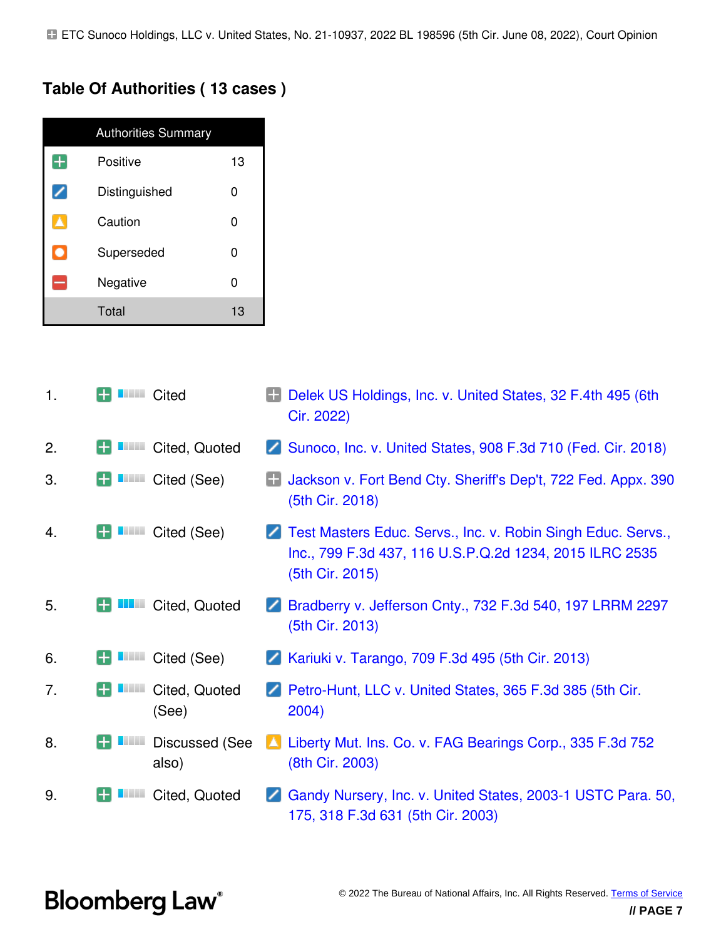### **Table Of Authorities ( 13 cases )**

|           | <b>Authorities Summary</b> |    |  |  |
|-----------|----------------------------|----|--|--|
| Ŧ         | Positive<br>13             |    |  |  |
|           | Distinguished<br>ი         |    |  |  |
| ▲         | Caution                    | ი  |  |  |
| $\bullet$ | Superseded<br>ი            |    |  |  |
| ÷         | Negative                   |    |  |  |
|           | Total                      | 13 |  |  |

| 1. | <b>Call Ave.</b>    | Cited                          | Delek US Holdings, Inc. v. United States, 32 F.4th 495 (6th<br>63<br>Cir. 2022)                                                            |
|----|---------------------|--------------------------------|--------------------------------------------------------------------------------------------------------------------------------------------|
| 2. | <b>Call And</b>     | Cited, Quoted                  | Sunoco, Inc. v. United States, 908 F.3d 710 (Fed. Cir. 2018)                                                                               |
| 3. | <b>Carl College</b> | Cited (See)                    | Jackson v. Fort Bend Cty. Sheriff's Dep't, 722 Fed. Appx. 390<br>(5th Cir. 2018)                                                           |
| 4. | <b>Carl College</b> | Cited (See)                    | Test Masters Educ. Servs., Inc. v. Robin Singh Educ. Servs.,<br>Inc., 799 F.3d 437, 116 U.S.P.Q.2d 1234, 2015 ILRC 2535<br>(5th Cir. 2015) |
| 5. |                     | Cited, Quoted                  | Bradberry v. Jefferson Cnty., 732 F.3d 540, 197 LRRM 2297<br>(5th Cir. 2013)                                                               |
| 6. |                     | Cited (See)                    | <b>Z</b> Kariuki v. Tarango, 709 F.3d 495 (5th Cir. 2013)                                                                                  |
| 7. | <b>CONTRACTOR</b>   | Cited, Quoted<br>(See)         | Petro-Hunt, LLC v. United States, 365 F.3d 385 (5th Cir.<br>2004)                                                                          |
| 8. |                     | <b>Discussed (See</b><br>also) | Liberty Mut. Ins. Co. v. FAG Bearings Corp., 335 F.3d 752<br>(8th Cir. 2003)                                                               |
| 9. |                     | Cited, Quoted                  | Gandy Nursery, Inc. v. United States, 2003-1 USTC Para. 50,<br>175, 318 F.3d 631 (5th Cir. 2003)                                           |